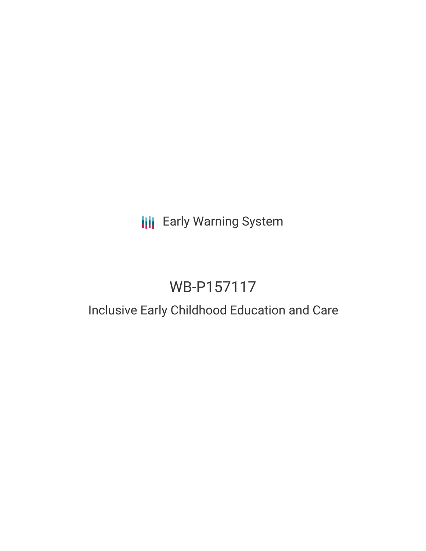## **III** Early Warning System

# WB-P157117

### Inclusive Early Childhood Education and Care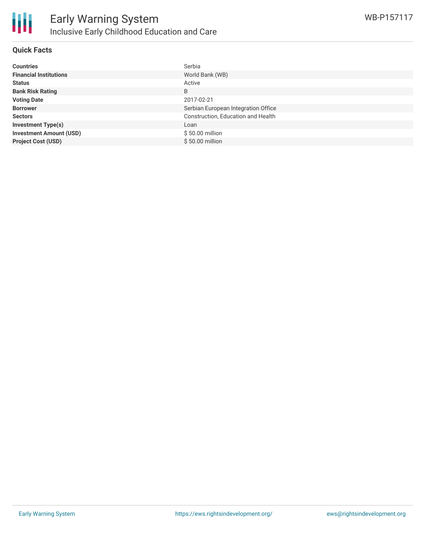

#### **Quick Facts**

| <b>Countries</b>               | Serbia                              |
|--------------------------------|-------------------------------------|
| <b>Financial Institutions</b>  | World Bank (WB)                     |
| <b>Status</b>                  | Active                              |
| <b>Bank Risk Rating</b>        | B                                   |
| <b>Voting Date</b>             | 2017-02-21                          |
| <b>Borrower</b>                | Serbian European Integration Office |
| <b>Sectors</b>                 | Construction, Education and Health  |
| <b>Investment Type(s)</b>      | Loan                                |
| <b>Investment Amount (USD)</b> | $$50.00$ million                    |
| <b>Project Cost (USD)</b>      | $$50.00$ million                    |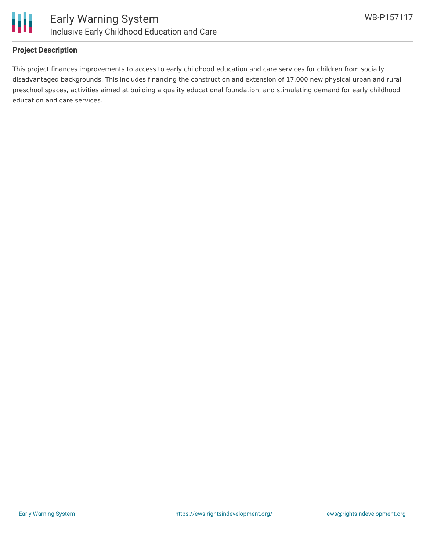

#### **Project Description**

This project finances improvements to access to early childhood education and care services for children from socially disadvantaged backgrounds. This includes financing the construction and extension of 17,000 new physical urban and rural preschool spaces, activities aimed at building a quality educational foundation, and stimulating demand for early childhood education and care services.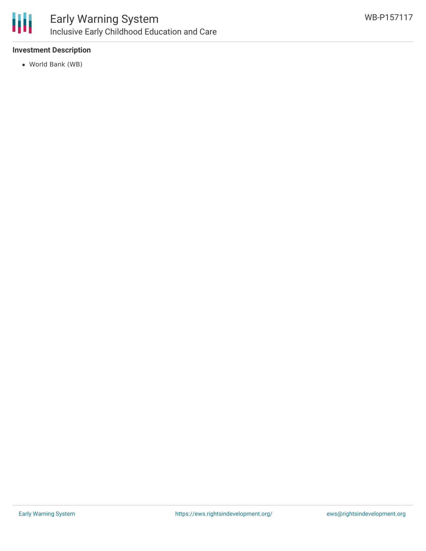

#### **Investment Description**

World Bank (WB)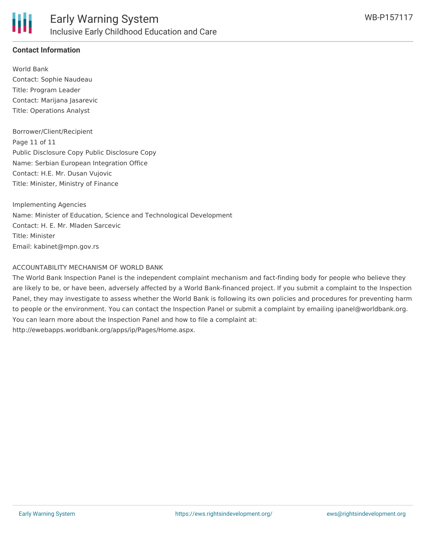

#### **Contact Information**

World Bank Contact: Sophie Naudeau Title: Program Leader Contact: Marijana Jasarevic Title: Operations Analyst

Borrower/Client/Recipient Page 11 of 11 Public Disclosure Copy Public Disclosure Copy Name: Serbian European Integration Office Contact: H.E. Mr. Dusan Vujovic Title: Minister, Ministry of Finance

Implementing Agencies Name: Minister of Education, Science and Technological Development Contact: H. E. Mr. Mladen Sarcevic Title: Minister Email: kabinet@mpn.gov.rs

#### ACCOUNTABILITY MECHANISM OF WORLD BANK

The World Bank Inspection Panel is the independent complaint mechanism and fact-finding body for people who believe they are likely to be, or have been, adversely affected by a World Bank-financed project. If you submit a complaint to the Inspection Panel, they may investigate to assess whether the World Bank is following its own policies and procedures for preventing harm to people or the environment. You can contact the Inspection Panel or submit a complaint by emailing ipanel@worldbank.org. You can learn more about the Inspection Panel and how to file a complaint at: http://ewebapps.worldbank.org/apps/ip/Pages/Home.aspx.